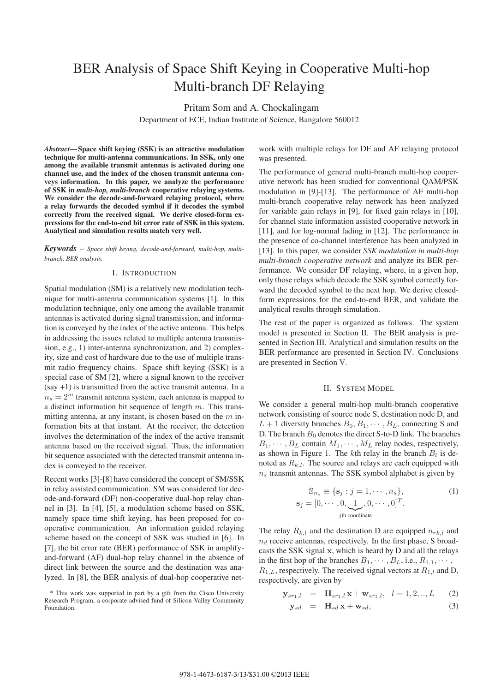# BER Analysis of Space Shift Keying in Cooperative Multi-hop Multi-branch DF Relaying

Pritam Som and A. Chockalingam

Department of ECE, Indian Institute of Science, Bangalore 560012

*Abstract***— Space shift keying (SSK) is an attractive modulation technique for multi-antenna communications. In SSK, only one among the available transmit antennas is activated during one channel use, and the index of the chosen transmit antenna conveys information. In this paper, we analyze the performance of SSK in** *multi-hop, multi-branch* **cooperative relaying systems. We consider the decode-and-forward relaying protocol, where a relay forwards the decoded symbol if it decodes the symbol correctly from the received signal. We derive closed-form expressions for the end-to-end bit error rate of SSK in this system. Analytical and simulation results match very well.**

*Keywords* – *Space shift keying, decode-and-forward, multi-hop, multibranch, BER analysis.*

## I. INTRODUCTION

Spatial modulation (SM) is a relatively new modulation technique for multi-antenna communication systems [1]. In this modulation technique, only one among the available transmit antennas is activated during signal transmission, and information is conveyed by the index of the active antenna. This helps in addressing the issues related to multiple antenna transmission, e.g., 1) inter-antenna synchronization, and 2) complexity, size and cost of hardware due to the use of multiple transmit radio frequency chains. Space shift keying (SSK) is a special case of SM [2], where a signal known to the receiver (say +1) is transmitted from the active transmit antenna. In a  $n_s = 2^m$  transmit antenna system, each antenna is mapped to a distinct information bit sequence of length m. This transmitting antenna, at any instant, is chosen based on the  $m$  information bits at that instant. At the receiver, the detection involves the determination of the index of the active transmit antenna based on the received signal. Thus, the information bit sequence associated with the detected transmit antenna index is conveyed to the receiver.

Recent works [3]-[8] have considered the concept of SM/SSK in relay assisted communication. SM was considered for decode-and-forward (DF) non-cooperative dual-hop relay channel in [3]. In [4], [5], a modulation scheme based on SSK, namely space time shift keying, has been proposed for cooperative communication. An information guided relaying scheme based on the concept of SSK was studied in [6]. In [7], the bit error rate (BER) performance of SSK in amplifyand-forward (AF) dual-hop relay channel in the absence of direct link between the source and the destination was analyzed. In [8], the BER analysis of dual-hop cooperative net-

\* This work was supported in part by a gift from the Cisco University Research Program, a corporate advised fund of Silicon Valley Community Foundation.

work with multiple relays for DF and AF relaying protocol was presented.

The performance of general multi-branch multi-hop cooperative network has been studied for conventional QAM/PSK modulation in [9]-[13]. The performance of AF multi-hop multi-branch cooperative relay network has been analyzed for variable gain relays in [9], for fixed gain relays in [10], for channel state information assisted cooperative network in [11], and for log-normal fading in [12]. The performance in the presence of co-channel interference has been analyzed in [13]. In this paper, we consider *SSK modulation in multi-hop multi-branch cooperative network* and analyze its BER performance. We consider DF relaying, where, in a given hop, only those relays which decode the SSK symbol correctly forward the decoded symbol to the next hop. We derive closedform expressions for the end-to-end BER, and validate the analytical results through simulation.

The rest of the paper is organized as follows. The system model is presented in Section II. The BER analysis is presented in Section III. Analytical and simulation results on the BER performance are presented in Section IV. Conclusions are presented in Section V.

#### II. SYSTEM MODEL

We consider a general multi-hop multi-branch cooperative network consisting of source node S, destination node D, and  $L + 1$  diversity branches  $B_0, B_1, \cdots, B_L$ , connecting S and D. The branch  $B_0$  denotes the direct S-to-D link. The branches  $B_1, \dots, B_L$  contain  $M_1, \dots, M_L$  relay nodes, respectively, as shown in Figure 1. The kth relay in the branch  $B_l$  is denoted as  $R_{k,l}$ . The source and relays are each equipped with  $n<sub>s</sub>$  transmit antennas. The SSK symbol alphabet is given by

$$
\mathbb{S}_{n_s} \equiv \{ \mathbf{s}_j : j = 1, \cdots, n_s \},
$$
  
\n
$$
\mathbf{s}_j = [0, \cdots, 0, \underbrace{1}_{j\text{th coordinate}}, 0, \cdots, 0]^T.
$$
 (1)

The relay  $R_{k,l}$  and the destination D are equipped  $n_{rk,l}$  and  $n_d$  receive antennas, respectively. In the first phase, S broadcasts the SSK signal **x**, which is heard by D and all the relays in the first hop of the branches  $B_1, \cdots, B_L$ , i.e.,  $R_{1,1}, \cdots$ ,  $R_{1,L}$ , respectively. The received signal vectors at  $R_{1,l}$  and D, respectively, are given by

$$
\mathbf{y}_{sr_1,l} = \mathbf{H}_{sr_1,l} \mathbf{x} + \mathbf{w}_{sr_1,l}, \quad l = 1, 2, ..., L \tag{2}
$$

$$
\mathbf{y}_{sd} = \mathbf{H}_{sd} \mathbf{x} + \mathbf{w}_{sd}, \tag{3}
$$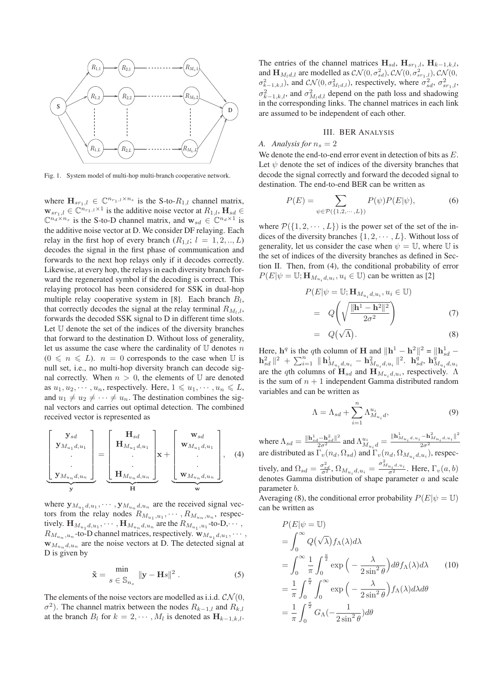

Fig. 1. System model of multi-hop multi-branch cooperative network.

where  $\mathbf{H}_{sr_1,l} \in \mathbb{C}^{n_{r_1,l} \times n_s}$  is the S-to- $R_{1,l}$  channel matrix,  $\mathbf{w}_{sr_1,l} \in \mathbb{C}^{n_{r_1,l} \times 1}$  is the additive noise vector at  $R_{1,l}$ ,  $\mathbf{H}_{sd} \in$  $\mathbb{C}^{n_d \times n_s}$  is the S-to-D channel matrix, and  $\mathbf{w}_{sd} \in \mathbb{C}^{n_d \times 1}$  is the additive noise vector at D. We consider DF relaying. Each relay in the first hop of every branch  $(R_{1,l}; l = 1, 2, ..., L)$ decodes the signal in the first phase of communication and forwards to the next hop relays only if it decodes correctly. Likewise, at every hop, the relays in each diversity branch forward the regenerated symbol if the decoding is correct. This relaying protocol has been considered for SSK in dual-hop multiple relay cooperative system in [8]. Each branch  $B_l$ , that correctly decodes the signal at the relay terminal  $R_{M_l,l}$ , forwards the decoded SSK signal to D in different time slots. Let U denote the set of the indices of the diversity branches that forward to the destination D. Without loss of generality, let us assume the case where the cardinality of  $U$  denotes n  $(0 \le n \le L)$ .  $n = 0$  corresponds to the case when U is null set, i.e., no multi-hop diversity branch can decode signal correctly. When  $n > 0$ , the elements of U are denoted as  $u_1, u_2, \dots, u_n$ , respectively. Here,  $1 \leq u_1, \dots, u_n \leq L$ , and  $u_1 \neq u_2 \neq \cdots \neq u_n$ . The destination combines the signal vectors and carries out optimal detection. The combined received vector is represented as

$$
\left[\begin{array}{c} \mathbf{y}_{sd} \\ \mathbf{y}_{M_{u_1}d,u_1} \\ \vdots \\ \mathbf{y}_{M_{u_n}d,u_n} \end{array}\right] = \left[\begin{array}{c} \mathbf{H}_{sd} \\ \mathbf{H}_{M_{u_1}d,u_1} \\ \vdots \\ \mathbf{H}_{M_{u_n}d,u_n} \end{array}\right] \mathbf{x} + \left[\begin{array}{c} \mathbf{w}_{sd} \\ \mathbf{w}_{M_{u_1}d,u_1} \\ \vdots \\ \mathbf{w}_{M_{u_n}d,u_n} \end{array}\right], \quad (4)
$$

where  $\mathbf{y}_{M_{u_1}d, u_1}, \cdots, \mathbf{y}_{M_{u_n}d, u_n}$  are the received signal vectors from the relay nodes  $R_{M_{u_1},u_1},\cdots,R_{M_{u_n},u_n}$ , respectively.  $\mathbf{H}_{M_{u_1}d, u_1}, \cdots, \mathbf{H}_{M_{u_n}d, u_n}$  are the  $R_{M_{u_1}, u_1}$ -to-D, $\cdots$ ,  $R_{M_{u_n},u_n}$ -to-D channel matrices, respectively.  $\mathbf{w}_{M_{u_1},d,u_1},\cdots$  $\mathbf{w}_{M_{un},d,u_n}$  are the noise vectors at D. The detected signal at D is given by

$$
\tilde{\mathbf{x}} = \frac{\min}{s \in \mathbb{S}_{n_s}} \|\mathbf{y} - \mathbf{H}s\|^2.
$$
 (5)

The elements of the noise vectors are modelled as i.i.d.  $CN(0,$  $\sigma^2$ ). The channel matrix between the nodes  $R_{k-1,l}$  and  $R_{k,l}$ at the branch  $B_l$  for  $k = 2, \dots, M_l$  is denoted as  $\mathbf{H}_{k-1,k,l}$ . The entries of the channel matrices  $\mathbf{H}_{sd}$ ,  $\mathbf{H}_{sr_1,l}$ ,  $\mathbf{H}_{k-1,k,l}$ , and  $\mathbf{H}_{M_l d,l}$  are modelled as  $\mathcal{CN}(0, \sigma_{sd}^2), \mathcal{CN}(0, \sigma_{sr_1,l}^2), \mathcal{CN}(0, \sigma_{sr_2,l}^2)$  $\sigma_{k-1,k,l}^2$ ), and  $\mathcal{CN}(0, \sigma_{M_l d,l}^2)$ , respectively, where  $\sigma_{sd}^2$ ,  $\sigma_{sr_1,l}^2$ ,  $\sigma_{k-1,k,l}^2$ , and  $\sigma_{M_l d,l}^2$  depend on the path loss and shadowing in the corresponding links. The channel matrices in each link are assumed to be independent of each other.

## III. BER ANALYSIS

## *A. Analysis for*  $n_s = 2$

We denote the end-to-end error event in detection of bits as  $E$ . Let  $\psi$  denote the set of indices of the diversity branches that decode the signal correctly and forward the decoded signal to destination. The end-to-end BER can be written as

$$
P(E) = \sum_{\psi \in \mathcal{P}(\{1,2,\cdots,L\})} P(\psi) P(E|\psi),\tag{6}
$$

where  $\mathcal{P}(\{1, 2, \dots, L\})$  is the power set of the set of the indices of the diversity branches  $\{1, 2, \dots, L\}$ . Without loss of generality, let us consider the case when  $\psi = \mathbb{U}$ , where  $\mathbb{U}$  is the set of indices of the diversity branches as defined in Section II. Then, from (4), the conditional probability of error  $P(E|\psi = \mathbb{U}; \mathbf{H}_{M_u,d,u_i}, u_i \in \mathbb{U})$  can be written as [2]

$$
P(E|\psi = \mathbb{U}; \mathbf{H}_{M_{u_i}d, u_i}, u_i \in \mathbb{U})
$$
  
=  $Q\left(\sqrt{\frac{\|\mathbf{h}^1 - \mathbf{h}^2\|^2}{2\sigma^2}}\right)$  (7)  
=  $Q(\sqrt{\Lambda}).$  (8)

$$
= Q(\sqrt{\Lambda}). \tag{8}
$$

Here,  $\mathbf{h}^q$  is the qth column of **H** and  $\|\mathbf{h}^1 - \mathbf{h}^2\|^2 = \|\mathbf{h}^1_{sd} - \mathbf{h}^2\|^2$  $\mathbf{h}_{sd}^2\|^2\,+\,\sum_{i=1}^n\,\|\,\mathbf{h}_{M_{u_i}d,u_i}^1 - \mathbf{h}_{M_{u_i}d,u_i}^2\|^2\!,\,\,\, \mathbf{h}_{sd}^q,\,\mathbf{h}_{M_{u_i}d,u_i}^q$ are the qth columns of  $\mathbf{H}_{sd}$  and  $\mathbf{H}_{M_u,d,u_i}$ , respectively.  $\Lambda$ is the sum of  $n + 1$  independent Gamma distributed random variables and can be written as

$$
\Lambda = \Lambda_{sd} + \sum_{i=1}^{n} \Lambda_{M_{u_i}d}^{u_i},\tag{9}
$$

where  $\Lambda_{sd} = \frac{\|\mathbf{h}_{sd}^1 - \mathbf{h}_{sd}^2\|^2}{2\sigma^2}$  and  $\Lambda_{M_{u_i}d}^{u_i} = \frac{\|\mathbf{h}_{M_{u_i}d, u_i}^1 - \mathbf{h}_{M_{u_i}d, u_i}^2\|^2}{2\sigma^2}$  $\overline{2\sigma^2}$ are distributed as  $\Gamma_v(n_d, \Omega_{sd})$  and  $\Gamma_v(n_d, \Omega_{M_u, d, u_i})$ , respectively, and  $\Omega_{sd} = \frac{\sigma_{sd}^2}{\sigma^2}$ ,  $\Omega_{M_{u_i}d, u_i} = \frac{\sigma_{M_{u_i}d, u_i}^2}{\sigma^2}$ . Here,  $\Gamma_v(a, b)$ 

denotes Gamma distribution of shape parameter a and scale parameter b.

Averaging (8), the conditional error probability  $P(E|\psi = \mathbb{U})$ can be written as

$$
P(E|\psi = \mathbb{U})
$$
  
=  $\int_0^\infty Q(\sqrt{\lambda}) f_\Lambda(\lambda) d\lambda$   
=  $\int_0^\infty \frac{1}{\pi} \int_0^{\frac{\pi}{2}} \exp\left(-\frac{\lambda}{2\sin^2\theta}\right) d\theta f_\Lambda(\lambda) d\lambda$  (10)  
=  $\frac{1}{\pi} \int_0^{\frac{\pi}{2}} \int_0^\infty \exp\left(-\frac{\lambda}{2\sin^2\theta}\right) f_\Lambda(\lambda) d\lambda d\theta$   
=  $\frac{1}{\pi} \int_0^{\frac{\pi}{2}} G_\Lambda(-\frac{1}{2\sin^2\theta}) d\theta$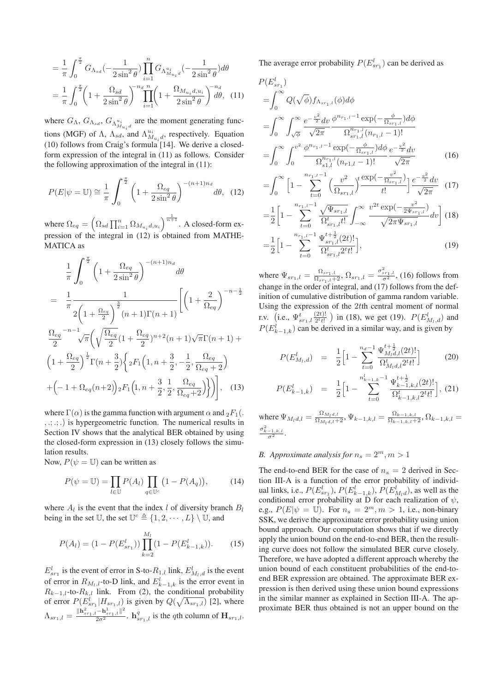$$
= \frac{1}{\pi} \int_0^{\frac{\pi}{2}} G_{\Lambda_{sd}}(-\frac{1}{2\sin^2 \theta}) \prod_{i=1}^n G_{\Lambda_{M_{u_i}d}^{u_i}}(-\frac{1}{2\sin^2 \theta}) d\theta
$$

$$
= \frac{1}{\pi} \int_0^{\frac{\pi}{2}} \left(1 + \frac{\Omega_{sd}}{2\sin^2 \theta}\right)^{-n_d} \prod_{i=1}^n \left(1 + \frac{\Omega_{M_{u_i}d, u_i}}{2\sin^2 \theta}\right)^{-n_d} d\theta, \quad (11)
$$

where  $G_{\Lambda}$ ,  $G_{\Lambda_{sd}}$ ,  $G_{\Lambda_{M_{u_i}d}^{u_i}}$  are the moment generating functions (MGF) of  $\Lambda$ ,  $\Lambda_{sd}$ , and  $\Lambda_{M_{u_i}d}^{u_i}$ , respectively. Equation (10) follows from Craig's formula [14]. We derive a closedform expression of the integral in (11) as follows. Consider the following approximation of the integral in (11):

$$
P(E|\psi = \mathbb{U}) \cong \frac{1}{\pi} \int_0^{\frac{\pi}{2}} \left(1 + \frac{\Omega_{eq}}{2\sin^2\theta}\right)^{-(n+1)n_d} d\theta, \tag{12}
$$

where  $\Omega_{eq} = \left(\Omega_{sd} \prod_{i=1}^{n} \Omega_{M_{u_i}d, u_i}\right)^{\frac{1}{n+1}}$ . A closed-form expression of the integral in (12) is obtained from MATHE-MATICA as

$$
\frac{1}{\pi} \int_0^{\frac{\pi}{2}} \left( 1 + \frac{\Omega_{eq}}{2 \sin^2 \theta} \right)^{-(n+1)n_d} d\theta
$$
\n
$$
= \frac{1}{\pi} \frac{1}{2 \left( 1 + \frac{\Omega_{eq}}{2} \right)^{\frac{3}{2}} (n+1) \Gamma(n+1)} \left[ \left( 1 + \frac{2}{\Omega_{eq}} \right)^{-n-\frac{1}{2}} \right]
$$
\n
$$
\frac{\Omega_{eq}}{2}^{-n-1} \sqrt{\pi} \left( \sqrt{\frac{\Omega_{eq}}{2}} (1 + \frac{\Omega_{eq}}{2})^{n+2} (n+1) \sqrt{\pi} \Gamma(n+1) + \left( 1 + \frac{\Omega_{eq}}{2} \right)^{\frac{1}{2}} \Gamma(n+\frac{3}{2}) \left\{ 2F_1 \left( 1, n + \frac{3}{2}, -\frac{1}{2}, \frac{\Omega_{eq}}{\Omega_{eq}+2} \right) + \left( -1 + \Omega_{eq}(n+2) \right) 2F_1 \left( 1, n + \frac{3}{2}, \frac{1}{2}, \frac{\Omega_{eq}}{\Omega_{eq}+2} \right) \right\} \right], \quad (13)
$$

where  $\Gamma(\alpha)$  is the gamma function with argument  $\alpha$  and  $_2F_1($ . , .; .; .) is hypergeometric function. The numerical results in Section IV shows that the analytical BER obtained by using the closed-form expression in (13) closely follows the simulation results.

Now,  $P(\psi = \mathbb{U})$  can be written as

$$
P(\psi = \mathbb{U}) = \prod_{l \in \mathbb{U}} P(A_l) \prod_{q \in \mathbb{U}^c} \left(1 - P(A_q)\right),\tag{14}
$$

where  $A_l$  is the event that the index l of diversity branch  $B_l$ being in the set U, the set  $\mathbb{U}^c \triangleq \{1, 2, \cdots, L\} \setminus \mathbb{U}$ , and

$$
P(A_l) = (1 - P(E_{sr_1}^l)) \prod_{k=2}^{M_l} (1 - P(E_{k-1,k}^l)).
$$
 (15)

 $E_{sr_1}^l$  is the event of error in S-to- $R_{1,l}$  link,  $E_{M_l,d}^l$  is the event of error in  $R_{M_l,l}$ -to-D link, and  $E_{k-1,k}^l$  is the error event in  $R_{k-1,l}$ -to- $R_{k,l}$  link. From (2), the conditional probability of error  $P(E_{sr_1}^l | H_{sr_1,l})$  is given by  $Q(\sqrt{\Lambda_{sr_1,l}})$  [2], where  $\Lambda_{sr_1,l} = \frac{\|\mathbf{h}_{sr_1,l}^2 - \mathbf{h}_{sr_1,l}^1\|^2}{2\sigma^2}$ .  $\mathbf{h}_{sr_1,l}^q$  is the qth column of  $\mathbf{H}_{sr_1,l}$ . The average error probability  $P(E_{sr_1}^l)$  can be derived as

$$
P(E_{sr_1}^l)
$$
  
=  $\int_0^\infty Q(\sqrt{\phi}) f_{\Lambda_{sr_1,l}}(\phi) d\phi$   
=  $\int_0^\infty \int_{\sqrt{\phi}}^\infty \frac{e^{-\frac{v^2}{2}} dv}{\sqrt{2\pi}} \frac{\phi^{n_{r_1,l}-1} \exp(-\frac{\phi}{\Omega_{sr_1,l}}) d\phi}{\Omega_{sr_1,l}^{n_{r_1,l}}(n_{r_1,l}-1)!}$   
=  $\int_0^\infty \int_0^{v^2} \frac{\phi^{n_{r_1,l}-1} \exp(-\frac{\phi}{\Omega_{sr_1,l}}) d\phi}{\Omega_{s_1,l}^{n_{r_1,l}}(n_{r_1,l}-1)!} \frac{e^{-\frac{v^2}{2}} dv}{\sqrt{2\pi}}$  (16)

$$
= \int_0^\infty \left[1 - \sum_{t=0}^{n_{r_1,l}-1} \left(\frac{v^2}{\Omega_{sr_1,l}}\right)^t \frac{\exp(-\frac{v^2}{\Omega_{sr_1,l}})}{t!} \right] \frac{e^{-\frac{v^2}{2}} dv}{\sqrt{2\pi}} \tag{17}
$$

$$
= \frac{1}{2} \left[ 1 - \sum_{t=0}^{n_{r_1,l}-1} \frac{\sqrt{\Psi_{sr_1,l}}}{\Omega_{sr_1,l}^t t!} \int_{-\infty}^{\infty} \frac{v^{2t} \exp(-\frac{v^2}{2\Psi_{sr_1,l}})}{\sqrt{2\pi \Psi_{sr_1,l}}} dv \right] (18)
$$

$$
=\frac{1}{2}\Big[1-\sum_{t=0}^{n_{r_1,l}-1}\frac{\Psi_{sr_1,l}^{t+\frac{1}{2}}(2t)!}{\Omega_{sr_1,l}^t 2^{t}t!}\Big],\tag{19}
$$

where  $\Psi_{sr_1,l} = \frac{\Omega_{sr_1,l}}{\Omega_{sr_1,l}+2}$ ,  $\Omega_{sr_1,l} = \frac{\sigma_{sr_1,l}^2}{\sigma^2}$ , (16) follows from change in the order of integral, and (17) follows from the definition of cumulative distribution of gamma random variable. Using the expression of the 2tth central moment of normal r.v. (i.e.,  $\Psi_{sr_1,l}^t \frac{(2t)!}{2^t t!}$ ) in (18), we get (19).  $P(E_{M_l,d}^l)$  and  $P(E_{k-1,k}^l)$  can be derived in a similar way, and is given by

$$
P(E_{M_l,d}^l) = \frac{1}{2} \Big[ 1 - \sum_{t=0}^{n_d-1} \frac{\Psi_{M_l,d,l}^{t+\frac{1}{2}}(2t)!}{\Omega_{M_l,d,l}^t 2^t t!} \Big] \tag{20}
$$

$$
P(E_{k-1,k}^l) = \frac{1}{2} \Big[ 1 - \sum_{t=0}^{n_{k-1,k}^l - 1} \frac{\Psi_{k-1,k,l}^{t+\frac{1}{2}}(2t)!}{\Omega_{k-1,k,l}^t 2^{t} t!} \Big], (21)
$$

where  $\Psi_{M_l d,l} = \frac{\Omega_{M_l d,l}}{\Omega_{M_l d,l}+2}$ ,  $\Psi_{k-1,k,l} = \frac{\Omega_{k-1,k,l}}{\Omega_{k-1,k,l}+2}$ ,  $\Omega_{k-1,k,l} =$  $\frac{\sigma^2_{k-1,k,l}}{\sigma^2}$ .

## *B. Approximate analysis for*  $n_s = 2^m, m > 1$

The end-to-end BER for the case of  $n<sub>s</sub> = 2$  derived in Section III-A is a function of the error probability of individual links, i.e.,  $P(E_{sr_1}^l)$ ,  $P(E_{k-1,k}^l)$ ,  $P(E_{M_l d}^l)$ , as well as the conditional error probability at D for each realization of  $\psi$ , e.g.,  $P(E|\psi = \mathbb{U})$ . For  $n_s = 2^m, m > 1$ , i.e., non-binary SSK, we derive the approximate error probability using union bound approach. Our computation shows that if we directly apply the union bound on the end-to-end BER, then the resulting curve does not follow the simulated BER curve closely. Therefore, we have adopted a different approach whereby the union bound of each constituent probabilities of the end-toend BER expression are obtained. The approximate BER expression is then derived using these union bound expressions in the similar manner as explained in Section III-A. The approximate BER thus obtained is not an upper bound on the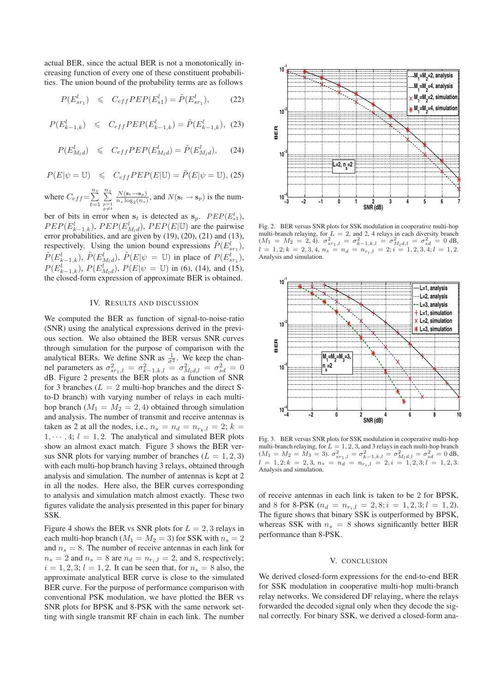actual BER, since the actual BER is not a monotonically increasing function of every one of these constituent probabilities. The union bound of the probability terms are as follows

$$
P(E_{sr_1}^l) \leq C_{eff} P E P(E_{s1}^l) = \tilde{P}(E_{sr_1}^l),
$$
 (22)

$$
P(E_{k-1,k}^l) \leq C_{eff} P E P(E_{k-1,k}^l) = \tilde{P}(E_{k-1,k}^l), (23)
$$

$$
P(E_{M_l d}^l) \leqslant C_{eff} P E P(E_{M_l d}^l) = \tilde{P}(E_{M_l d}^l), \quad (24)
$$

$$
P(E|\psi = \mathbb{U}) \leq C_{eff} P E P(E|\mathbb{U}) = \tilde{P}(E|\psi = \mathbb{U}),
$$
 (25)

where  $C_{eff} = \sum_{t=1}^{n_s}$  $\sum_{\substack{p=1 \ p \neq t}}^{n_s}$  $\frac{N(\mathbf{s}_t \rightarrow \mathbf{s}_p)}{n_s \log_2(n_s)}$ , and  $N(\mathbf{s}_t \rightarrow \mathbf{s}_p)$  is the num-

ber of bits in error when  $s_t$  is detected as  $s_p$ .  $PEP(E_{s1}^l)$ ,  $PEP(E_{k-1,k}^l)$ ,  $PEP(E_{M_l d}^l)$ ,  $PEP(E|U)$  are the pairwise error probabilities, and are given by (19), (20), (21) and (13), respectively. Using the union bound expressions  $\tilde{P}(E_{sr_1}^l)$ ,  $\tilde{P}(E_{k-1,k}^l)$ ,  $\tilde{P}(E_{M_l d}^l)$ ,  $\tilde{P}(E|\psi = \mathbb{U})$  in place of  $P(E_{sr_1}^l)$ ,  $P(E_{k-1,k}^l)$ ,  $P(E_{M_l d}^l)$ ,  $P(E|\psi = \mathbb{U})$  in (6), (14), and (15), the closed-form expression of approximate BER is obtained.

## IV. RESULTS AND DISCUSSION

We computed the BER as function of signal-to-noise-ratio (SNR) using the analytical expressions derived in the previous section. We also obtained the BER versus SNR curves through simulation for the purpose of comparison with the analytical BERs. We define SNR as  $\frac{1}{\sigma^2}$ . We keep the channel parameters as  $\sigma_{sr_1,l}^2 = \sigma_{k-1,k,l}^2 = \sigma_{M_l d,l}^2 = \sigma_{sd}^2 = 0$ dB. Figure 2 presents the BER plots as a function of SNR for 3 branches ( $L = 2$  multi-hop branches and the direct Sto-D branch) with varying number of relays in each multihop branch ( $M_1 = M_2 = 2, 4$ ) obtained through simulation and analysis. The number of transmit and receive antennas is taken as 2 at all the nodes, i.e.,  $n_s = n_d = n_{r_k,l} = 2$ ;  $k =$  $1, \dots, 4; l = 1, 2$ . The analytical and simulated BER plots show an almost exact match. Figure 3 shows the BER versus SNR plots for varying number of branches ( $L = 1, 2, 3$ ) with each multi-hop branch having 3 relays, obtained through analysis and simulation. The number of antennas is kept at 2 in all the nodes. Here also, the BER curves corresponding to analysis and simulation match almost exactly. These two figures validate the analysis presented in this paper for binary SSK.

Figure 4 shows the BER vs SNR plots for  $L = 2, 3$  relays in each multi-hop branch ( $M_1 = M_2 = 3$ ) for SSK with  $n_s = 2$ and  $n_s = 8$ . The number of receive antennas in each link for  $n_s = 2$  and  $n_s = 8$  are  $n_d = n_{r_i,l} = 2$ , and 8, respectively;  $i = 1, 2, 3; l = 1, 2$ . It can be seen that, for  $n_s = 8$  also, the approximate analytical BER curve is close to the simulated BER curve. For the purpose of performance comparison with conventional PSK modulation, we have plotted the BER vs SNR plots for BPSK and 8-PSK with the same network setting with single transmit RF chain in each link. The number



Fig. 2. BER versus SNR plots for SSK modulation in cooperative multi-hop multi-branch relaying, for  $L = 2$ , and 2, 4 relays in each diversity branch  $(M_1 = M_2 = 2, 4)$ .  $\sigma_{sr_1,l}^2 = \sigma_{k-1,k,l}^2 = \sigma_{M_l d,l}^2 = \sigma_{sd}^2 = 0$  dB,  $l = 1, 2; k = 2, 3, 4, n_s = n_d = n_{r_i, l} = 2; i = 1, 2, 3, 4; l = 1, 2.$ Analysis and simulation.



Fig. 3. BER versus SNR plots for SSK modulation in cooperative multi-hop multi-branch relaying, for  $L = 1, 2, 3$ , and 3 relays in each multi-hop branch  $M_1 = M_2 = M_3 = 3$ .  $\sigma_{sr_1,l}^2 = \sigma_{k-1,k,l}^2 = \sigma_{M_1d,l}^2 = \sigma_{sd}^2 = 0$  dB,  $l = 1, 2; k = 2, 3, n_s = n_d = n_{r_i, l} = 2; i = 1, 2, 3; l = 1, 2, 3.$ Analysis and simulation.

of receive antennas in each link is taken to be 2 for BPSK, and 8 for 8-PSK ( $n_d = n_{r_i,l} = 2, 8; i = 1, 2, 3; l = 1, 2$ ). The figure shows that binary SSK is outperformed by BPSK, whereas SSK with  $n_s = 8$  shows significantly better BER performance than 8-PSK.

#### V. CONCLUSION

We derived closed-form expressions for the end-to-end BER for SSK modulation in cooperative multi-hop multi-branch relay networks. We considered DF relaying, where the relays forwarded the decoded signal only when they decode the signal correctly. For binary SSK, we derived a closed-form ana-